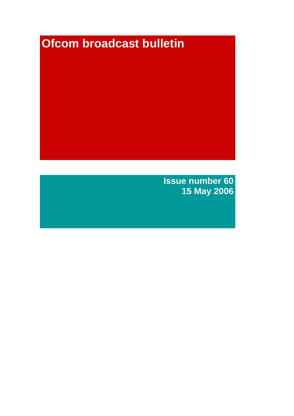# **Ofcom broadcast bulletin**

**Issue number 60 15 May 2006**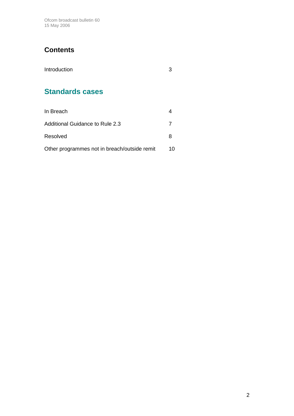Ofcom broadcast bulletin 60 15 May 2006

# **Contents**

| Introduction           | З |
|------------------------|---|
| <b>Standards cases</b> |   |

| In Breach                                    |    |
|----------------------------------------------|----|
| Additional Guidance to Rule 2.3              |    |
| Resolved                                     |    |
| Other programmes not in breach/outside remit | 10 |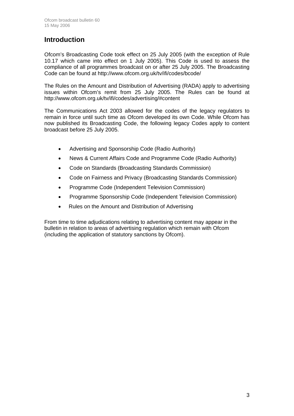## **Introduction**

Ofcom's Broadcasting Code took effect on 25 July 2005 (with the exception of Rule 10.17 which came into effect on 1 July 2005). This Code is used to assess the compliance of all programmes broadcast on or after 25 July 2005. The Broadcasting Code can be found at http://www.ofcom.org.uk/tv/ifi/codes/bcode/

The Rules on the Amount and Distribution of Advertising (RADA) apply to advertising issues within Ofcom's remit from 25 July 2005. The Rules can be found at http://www.ofcom.org.uk/tv/ifi/codes/advertising/#content

The Communications Act 2003 allowed for the codes of the legacy regulators to remain in force until such time as Ofcom developed its own Code. While Ofcom has now published its Broadcasting Code, the following legacy Codes apply to content broadcast before 25 July 2005.

- Advertising and Sponsorship Code (Radio Authority)
- News & Current Affairs Code and Programme Code (Radio Authority)
- Code on Standards (Broadcasting Standards Commission)
- Code on Fairness and Privacy (Broadcasting Standards Commission)
- Programme Code (Independent Television Commission)
- Programme Sponsorship Code (Independent Television Commission)
- Rules on the Amount and Distribution of Advertising

From time to time adjudications relating to advertising content may appear in the bulletin in relation to areas of advertising regulation which remain with Ofcom (including the application of statutory sanctions by Ofcom).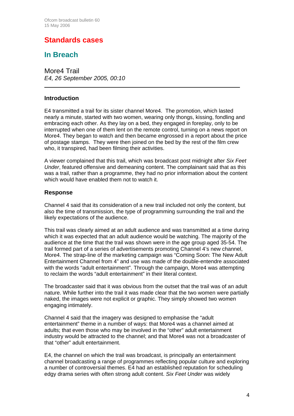## **Standards cases**

## **In Breach**

More4 Trail *E4, 26 September 2005, 00:10* 

#### **Introduction**

 $\overline{a}$ 

E4 transmitted a trail for its sister channel More4. The promotion, which lasted nearly a minute, started with two women, wearing only thongs, kissing, fondling and embracing each other. As they lay on a bed, they engaged in foreplay, only to be interrupted when one of them lent on the remote control, turning on a news report on More4. They began to watch and then became engrossed in a report about the price of postage stamps. They were then joined on the bed by the rest of the film crew who, it transpired, had been filming their activities.

A viewer complained that this trail, which was broadcast post midnight after *Six Feet Under*, featured offensive and demeaning content. The complainant said that as this was a trail, rather than a programme, they had no prior information about the content which would have enabled them not to watch it.

#### **Response**

Channel 4 said that its consideration of a new trail included not only the content, but also the time of transmission, the type of programming surrounding the trail and the likely expectations of the audience.

This trail was clearly aimed at an adult audience and was transmitted at a time during which it was expected that an adult audience would be watching. The majority of the audience at the time that the trail was shown were in the age group aged 35-54. The trail formed part of a series of advertisements promoting Channel 4's new channel, More4. The strap-line of the marketing campaign was "Coming Soon: The New Adult Entertainment Channel from 4" and use was made of the double-entendre associated with the words "adult entertainment". Through the campaign, More4 was attempting to reclaim the words "adult entertainment" in their literal context.

The broadcaster said that it was obvious from the outset that the trail was of an adult nature. While further into the trail it was made clear that the two women were partially naked, the images were not explicit or graphic. They simply showed two women engaging intimately.

Channel 4 said that the imagery was designed to emphasise the "adult entertainment" theme in a number of ways: that More4 was a channel aimed at adults; that even those who may be involved in the "other" adult entertainment industry would be attracted to the channel; and that More4 was not a broadcaster of that "other" adult entertainment.

E4, the channel on which the trail was broadcast, is principally an entertainment channel broadcasting a range of programmes reflecting popular culture and exploring a number of controversial themes. E4 had an established reputation for scheduling edgy drama series with often strong adult content. *Six Feet Under* was widely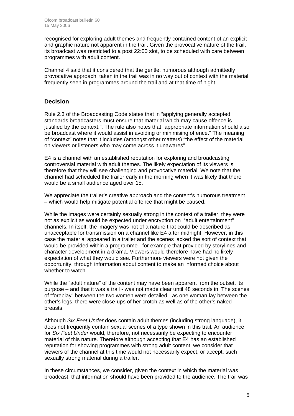recognised for exploring adult themes and frequently contained content of an explicit and graphic nature not apparent in the trail. Given the provocative nature of the trail, its broadcast was restricted to a post 22:00 slot, to be scheduled with care between programmes with adult content.

Channel 4 said that it considered that the gentle, humorous although admittedly provocative approach, taken in the trail was in no way out of context with the material frequently seen in programmes around the trail and at that time of night.

#### **Decision**

Rule 2.3 of the Broadcasting Code states that in "applying generally accepted standards broadcasters must ensure that material which may cause offence is justified by the context.". The rule also notes that "appropriate information should also be broadcast where it would assist in avoiding or minimising offence." The meaning of "context" notes that it includes (amongst other matters) "the effect of the material on viewers or listeners who may come across it unawares".

E4 is a channel with an established reputation for exploring and broadcasting controversial material with adult themes. The likely expectation of its viewers is therefore that they will see challenging and provocative material. We note that the channel had scheduled the trailer early in the morning when it was likely that there would be a small audience aged over 15.

We appreciate the trailer's creative approach and the content's humorous treatment – which would help mitigate potential offence that might be caused.

While the images were certainly sexually strong in the context of a trailer, they were not as explicit as would be expected under encryption on "adult entertainment" channels. In itself, the imagery was not of a nature that could be described as unacceptable for transmission on a channel like E4 after midnight. However, in this case the material appeared in a trailer and the scenes lacked the sort of context that would be provided within a programme - for example that provided by storylines and character development in a drama. Viewers would therefore have had no likely expectation of what they would see. Furthermore viewers were not given the opportunity, through information about content to make an informed choice about whether to watch.

While the "adult nature" of the content may have been apparent from the outset, its purpose – and that it was a trail - was not made clear until 48 seconds in. The scenes of "foreplay" between the two women were detailed - as one woman lay between the other's legs, there were close-ups of her crotch as well as of the other's naked breasts.

Although *Six Feet Under* does contain adult themes (including strong language), it does not frequently contain sexual scenes of a type shown in this trail. An audience for *Six Feet Under* would, therefore, not necessarily be expecting to encounter material of this nature. Therefore although accepting that E4 has an established reputation for showing programmes with strong adult content, we consider that viewers of the channel at this time would not necessarily expect, or accept, such sexually strong material during a trailer.

In these circumstances, we consider, given the context in which the material was broadcast, that information should have been provided to the audience. The trail was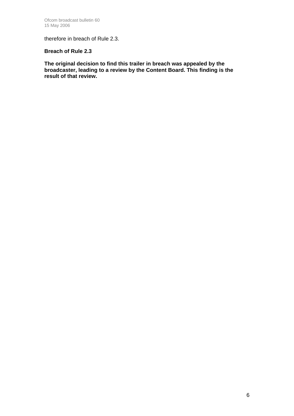therefore in breach of Rule 2.3.

#### **Breach of Rule 2.3**

**The original decision to find this trailer in breach was appealed by the broadcaster, leading to a review by the Content Board. This finding is the result of that review.**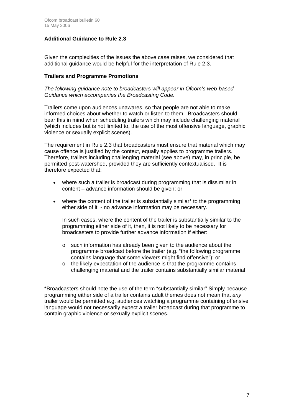#### **Additional Guidance to Rule 2.3**

Given the complexities of the issues the above case raises, we considered that additional guidance would be helpful for the interpretation of Rule 2.3.

#### **Trailers and Programme Promotions**

*The following guidance note to broadcasters will appear in Ofcom's web-based Guidance which accompanies the Broadcasting Code.* 

Trailers come upon audiences unawares, so that people are not able to make informed choices about whether to watch or listen to them. Broadcasters should bear this in mind when scheduling trailers which may include challenging material (which includes but is not limited to, the use of the most offensive language, graphic violence or sexually explicit scenes).

The requirement in Rule 2.3 that broadcasters must ensure that material which may cause offence is justified by the context, equally applies to programme trailers. Therefore, trailers including challenging material (see above) may, in principle, be permitted post-watershed, provided they are sufficiently contextualised. It is therefore expected that:

- where such a trailer is broadcast during programming that is dissimilar in content – advance information should be given; or
- where the content of the trailer is substantially similar<sup>\*</sup> to the programming either side of it - no advance information may be necessary.

In such cases, where the content of the trailer is substantially similar to the programming either side of it, then, it is not likely to be necessary for broadcasters to provide further advance information if either:

- o such information has already been given to the audience about the programme broadcast before the trailer (e.g. "the following programme contains language that some viewers might find offensive"); or
- o the likely expectation of the audience is that the programme contains challenging material and the trailer contains substantially similar material

\*Broadcasters should note the use of the term "substantially similar" Simply because programming either side of a trailer contains adult themes does not mean that *any*  trailer would be permitted e.g. audiences watching a programme containing offensive language would not necessarily expect a trailer broadcast during that programme to contain graphic violence or sexually explicit scenes.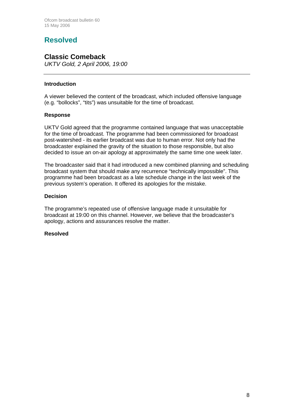# **Resolved**

### **Classic Comeback**

*UKTV Gold, 2 April 2006, 19:00*

#### **Introduction**

A viewer believed the content of the broadcast, which included offensive language (e.g. "bollocks", "tits") was unsuitable for the time of broadcast.

#### **Response**

UKTV Gold agreed that the programme contained language that was unacceptable for the time of broadcast. The programme had been commissioned for broadcast post-watershed - its earlier broadcast was due to human error. Not only had the broadcaster explained the gravity of the situation to those responsible, but also decided to issue an on-air apology at approximately the same time one week later.

The broadcaster said that it had introduced a new combined planning and scheduling broadcast system that should make any recurrence "technically impossible". This programme had been broadcast as a late schedule change in the last week of the previous system's operation. It offered its apologies for the mistake.

#### **Decision**

The programme's repeated use of offensive language made it unsuitable for broadcast at 19:00 on this channel. However, we believe that the broadcaster's apology, actions and assurances resolve the matter.

#### **Resolved**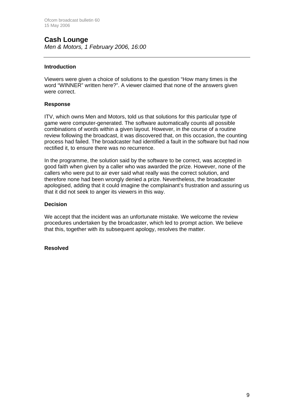# **Cash Lounge**

*Men & Motors, 1 February 2006, 16:00*

#### **Introduction**

Viewers were given a choice of solutions to the question "How many times is the word "WINNER" written here?". A viewer claimed that none of the answers given were correct.

#### **Response**

ITV, which owns Men and Motors, told us that solutions for this particular type of game were computer-generated. The software automatically counts all possible combinations of words within a given layout. However, in the course of a routine review following the broadcast, it was discovered that, on this occasion, the counting process had failed. The broadcaster had identified a fault in the software but had now rectified it, to ensure there was no recurrence.

In the programme, the solution said by the software to be correct, was accepted in good faith when given by a caller who was awarded the prize. However, none of the callers who were put to air ever said what really was the correct solution, and therefore none had been wrongly denied a prize. Nevertheless, the broadcaster apologised, adding that it could imagine the complainant's frustration and assuring us that it did not seek to anger its viewers in this way.

#### **Decision**

We accept that the incident was an unfortunate mistake. We welcome the review procedures undertaken by the broadcaster, which led to prompt action. We believe that this, together with its subsequent apology, resolves the matter.

#### **Resolved**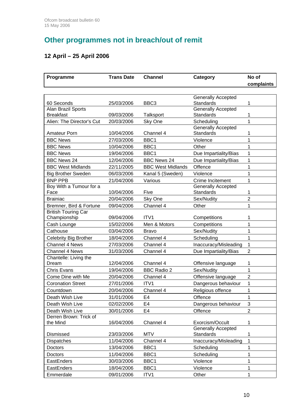# **Other programmes not in breach/out of remit**

## **12 April – 25 April 2006**

| Programme                    | <b>Trans Date</b> | <b>Channel</b>                  | Category                                     | No of          |
|------------------------------|-------------------|---------------------------------|----------------------------------------------|----------------|
|                              |                   |                                 |                                              | complaints     |
|                              |                   |                                 | <b>Generally Accepted</b>                    |                |
| 60 Seconds                   | 25/03/2006        | BBC <sub>3</sub>                | <b>Standards</b>                             | 1              |
| Alan Brazil Sports           |                   |                                 | Generally Accepted                           |                |
| <b>Breakfast</b>             | 09/03/2006        | Talksport                       | <b>Standards</b>                             | 1              |
| Alien: The Director's Cut    | 20/03/2006        | Sky One                         | Scheduling                                   | $\overline{1}$ |
|                              |                   |                                 | <b>Generally Accepted</b>                    |                |
| <b>Amateur Porn</b>          | 10/04/2006        | Channel 4                       | <b>Standards</b>                             | 1              |
| <b>BBC News</b>              | 27/03/2006        | BBC1                            | Violence                                     | 1              |
| <b>BBC News</b>              | 10/04/2006        | BBC1                            | Other                                        | 1              |
| <b>BBC News</b>              | 19/04/2006        | BBC1                            | Due Impartiality/Bias                        | 1              |
| <b>BBC News 24</b>           | 12/04/2006        | <b>BBC News 24</b>              | Due Impartiality/Bias                        | 1              |
| <b>BBC West Midlands</b>     | 22/11/2005        | <b>BBC West Midlands</b>        | Offence                                      | 1              |
| <b>Big Brother Sweden</b>    | 06/03/2006        | Kanal 5 (Sweden)                | Violence                                     | 1              |
| <b>BNP PPB</b>               | 21/04/2006        | Various                         | Crime Incitement                             | 1              |
| Boy With a Tumour for a      |                   |                                 | <b>Generally Accepted</b>                    |                |
| Face                         | 10/04/2006        | Five                            | <b>Standards</b>                             | 1              |
| <b>Brainiac</b>              | 20/04/2006        | Sky One                         | Sex/Nudity                                   | $\overline{2}$ |
| Bremner, Bird & Fortune      | 09/04/2006        | Channel 4                       | Other                                        | 1              |
| <b>British Touring Car</b>   |                   |                                 |                                              |                |
| Championship                 | 09/04/2006        | ITV <sub>1</sub>                | Competitions                                 | 1              |
| Cash Lounge                  | 15/02/2006        | Men & Motors                    | Competitions                                 | 1              |
| Cathouse                     | 03/04/2006        | <b>Bravo</b>                    | Sex/Nudity                                   | 1              |
| <b>Celebrity Big Brother</b> | 18/04/2006        | Channel 4                       | Scheduling                                   | 1              |
| <b>Channel 4 News</b>        | 27/03/2006        | Channel 4                       | Inaccuracy/Misleading                        | 1              |
| <b>Channel 4 News</b>        | 31/03/2006        | Channel 4                       | Due Impartiality/Bias                        | $\overline{2}$ |
| Chantelle: Living the        |                   |                                 |                                              |                |
| Dream<br><b>Chris Evans</b>  | 12/04/2006        | Channel 4<br><b>BBC Radio 2</b> | Offensive language<br>Sex/Nudity             | 1              |
|                              | 19/04/2006        |                                 |                                              | 1              |
| Come Dine with Me            | 20/04/2006        | Channel 4                       | Offensive language                           | $\overline{2}$ |
| <b>Coronation Street</b>     | 27/01/2006        | ITV1                            | Dangerous behaviour                          | 1              |
| Countdown                    | 20/04/2006        | Channel 4                       | Religious offence                            | 1              |
| Death Wish Live              | 31/01/2006        | E4                              | Offence                                      | 1              |
| Death Wish Live              | 02/02/2006        | E4                              | Dangerous behaviour                          | 3              |
| Death Wish Live              | 30/01/2006        | E4                              | Offence                                      | $\overline{2}$ |
| Derren Brown: Trick of       |                   |                                 |                                              |                |
| the Mind                     | 16/04/2006        | Channel 4                       | Exorcism/Occult<br><b>Generally Accepted</b> | 1              |
| Dismissed                    | 23/03/2006        | <b>MTV</b>                      | <b>Standards</b>                             | 1              |
| Dispatches                   | 11/04/2006        | Channel 4                       | Inaccuracy/Misleading                        | $\mathbf{1}$   |
| Doctors                      | 13/04/2006        | BBC1                            | Scheduling                                   | 1              |
| Doctors                      | 11/04/2006        | BBC1                            | Scheduling                                   | 1              |
| EastEnders                   | 30/03/2006        | BBC1                            | Violence                                     | 1              |
| EastEnders                   | 18/04/2006        | BBC1                            | Violence                                     | 1              |
| Emmerdale                    | 09/01/2006        | ITV1                            | Other                                        | 1              |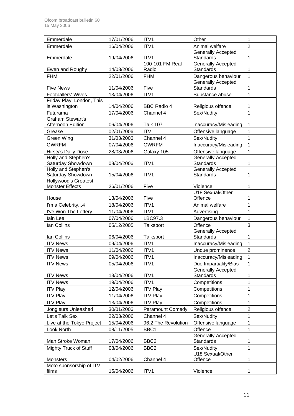| Emmerdale                                       | 17/01/2006 | ITV1                     | Other                                         | 1              |
|-------------------------------------------------|------------|--------------------------|-----------------------------------------------|----------------|
| Emmerdale                                       | 16/04/2006 | ITV1                     | Animal welfare                                | $\overline{2}$ |
| Emmerdale                                       | 19/04/2006 | ITV1                     | <b>Generally Accepted</b><br>Standards        | 1              |
| Ewen and Roughy                                 | 14/03/2006 | 100-101 FM Real<br>Radio | <b>Generally Accepted</b><br>Standards        | 1              |
| <b>FHM</b>                                      | 22/01/2006 | <b>FHM</b>               | Dangerous behaviour                           | $\mathbf{1}$   |
|                                                 |            |                          | <b>Generally Accepted</b>                     |                |
| <b>Five News</b>                                | 11/04/2006 | Five                     | <b>Standards</b>                              | 1              |
| <b>Footballers' Wives</b>                       | 13/04/2006 | ITV1                     | Substance abuse                               | 1              |
| Friday Play: London, This<br>is Washington      | 14/04/2006 | <b>BBC Radio 4</b>       | Religious offence                             | 1              |
| Futurama                                        | 17/04/2006 | Channel 4                | Sex/Nudity                                    | 1              |
| <b>Graham Stewart's</b>                         |            |                          |                                               |                |
| Afternoon Edition                               | 06/04/2006 | <b>Talk 107</b>          | Inaccuracy/Misleading                         | 1              |
| Grease                                          | 02/01/2006 | <b>ITV</b>               | Offensive language                            | 1              |
| <b>Green Wing</b>                               | 31/03/2006 | Channel 4                | Sex/Nudity                                    | 1              |
| <b>GWRFM</b>                                    | 07/04/2006 | <b>GWRFM</b>             | Inaccuracy/Misleading                         | $\mathbf{1}$   |
| Hirsty's Daily Dose                             | 28/03/2006 | Galaxy 105               | Offensive language                            | $\mathbf{1}$   |
| <b>Holly and Stephen's</b>                      |            |                          | <b>Generally Accepted</b>                     |                |
| Saturday Showdown                               | 08/04/2006 | ITV <sub>1</sub>         | <b>Standards</b>                              | 1              |
| <b>Holly and Stephen's</b><br>Saturday Showdown | 15/04/2006 | ITV1                     | Generally Accepted<br><b>Standards</b>        | 1              |
| <b>Hollywood's Greatest</b>                     |            |                          |                                               |                |
| <b>Monster Effects</b>                          | 26/01/2006 | Five                     | Violence                                      | 1              |
|                                                 |            |                          | U18 Sexual/Other                              |                |
| House                                           | 13/04/2006 | Five                     | Offence                                       | 1              |
| I'm a Celebrity4                                | 18/04/2006 | ITV1                     | Animal welfare                                | 1              |
| I've Won The Lottery                            | 11/04/2006 | ITV1                     | Advertising                                   | 1              |
| lain Lee                                        | 07/04/2006 | LBC97.3                  | Dangerous behaviour                           | 1              |
| Ian Collins                                     | 05/12/2005 | Talksport                | Offence                                       | 3              |
|                                                 |            |                          | Generally Accepted                            |                |
| Ian Collins                                     | 06/04/2006 | Talksport                | <b>Standards</b>                              | 1              |
| <b>ITV News</b>                                 | 09/04/2006 | ITV1                     | Inaccuracy/Misleading                         | $\mathbf{1}$   |
| <b>ITV News</b>                                 | 11/04/2006 | ITV1                     | Undue prominence                              | $\overline{2}$ |
| <b>ITV News</b>                                 | 09/04/2006 | ITV1                     | Inaccuracy/Misleading                         | $\mathbf 1$    |
| <b>ITV News</b>                                 | 05/04/2006 | ITV1                     | Due Impartiality/Bias                         | 1              |
| <b>ITV News</b>                                 | 13/04/2006 | ITV1                     | <b>Generally Accepted</b><br>Standards        | 1              |
| <b>ITV News</b>                                 | 19/04/2006 | ITV1                     | Competitions                                  | $\mathbf 1$    |
| <b>ITV Play</b>                                 | 12/04/2006 | <b>ITV Play</b>          | Competitions                                  | 1              |
| <b>ITV Play</b>                                 | 11/04/2006 | <b>ITV Play</b>          | Competitions                                  | 1              |
| <b>ITV Play</b>                                 | 13/04/2006 | <b>ITV Play</b>          | Competitions                                  | 1              |
| Jongleurs Unleashed                             | 30/01/2006 | <b>Paramount Comedy</b>  | Religious offence                             | $\overline{c}$ |
| Let's Talk Sex                                  | 22/03/2006 | Channel 4                | Sex/Nudity                                    | 1              |
| Live at the Tokyo Project                       | 15/04/2006 | 96.2 The Revolution      | Offensive language                            | 1              |
| Look North                                      | 08/11/2005 | BBC1                     | Offence                                       | 1              |
| Man Stroke Woman                                | 17/04/2006 | BBC <sub>2</sub>         | <b>Generally Accepted</b><br><b>Standards</b> | 1              |
| Mighty Truck of Stuff                           | 08/04/2006 | BBC <sub>2</sub>         | Sex/Nudity                                    | 1              |
|                                                 |            |                          | U18 Sexual/Other                              |                |
| Monsters                                        | 04/02/2006 | Channel 4                | Offence                                       | 1              |
| Moto sponsorship of ITV                         |            |                          |                                               |                |
| films                                           | 15/04/2006 | ITV1                     | Violence                                      |                |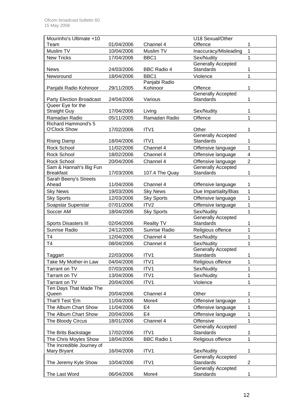| Mourinho's Ultimate +10               |            |                                    | U18 Sexual/Other                       |                |
|---------------------------------------|------------|------------------------------------|----------------------------------------|----------------|
| Team                                  | 01/04/2006 | Channel 4                          | Offence                                | 1              |
| Muslim TV                             | 10/04/2006 | Muslim TV                          | Inaccuracy/Misleading                  | 1              |
| <b>New Tricks</b>                     | 17/04/2006 | BBC1                               | Sex/Nudity                             | 1              |
|                                       |            |                                    | <b>Generally Accepted</b>              |                |
| <b>News</b>                           | 24/03/2006 | <b>BBC Radio 4</b>                 | Standards                              | 1              |
| Newsround                             | 18/04/2006 | BBC1                               | Violence                               | 1              |
|                                       |            | Panjabi Radio                      |                                        |                |
| Panjabi Radio Kohinoor                | 29/11/2005 | Kohinoor                           | Offence                                | 1              |
| Party Election Broadcast              | 24/04/2006 | Various                            | <b>Generally Accepted</b><br>Standards | 1              |
| Queer Eye for the                     |            |                                    |                                        |                |
| <b>Straight Guy</b>                   | 17/04/2006 | Living                             | Sex/Nudity                             | 1              |
| Ramadan Radio                         | 05/11/2005 | Ramadan Radio                      | Offence                                | 1              |
| <b>Richard Hammond's 5</b>            |            |                                    |                                        |                |
| O'Clock Show                          | 17/02/2006 | ITV1                               | Other                                  | 1              |
|                                       |            |                                    | <b>Generally Accepted</b>              |                |
| <b>Rising Damp</b>                    | 18/04/2006 | ITV1                               | Standards                              | 1              |
| Rock School                           | 11/02/2006 | Channel 4                          | Offensive language                     | 1              |
| Rock School                           | 18/02/2006 | Channel 4                          | Offensive language                     | 4              |
| Rock School                           | 20/04/2006 | Channel 4                          | Offensive language                     | $\overline{2}$ |
| Sam & Hannah's Big Fun                |            |                                    | <b>Generally Accepted</b>              |                |
| <b>Breakfast</b>                      | 17/03/2006 | 107.4 The Quay                     | <b>Standards</b>                       | 1              |
| Sarah Beeny's Streets                 |            |                                    |                                        |                |
| Ahead                                 | 11/04/2006 | Channel 4                          | Offensive language                     | 1              |
| <b>Sky News</b>                       | 19/03/2006 | <b>Sky News</b>                    | Due Impartiality/Bias                  | 1              |
| <b>Sky Sports</b>                     | 12/03/2006 | <b>Sky Sports</b>                  | Offensive language                     | 1              |
| Soapstar Superstar                    | 07/01/2006 | ITV2                               | Offensive language                     | 1              |
| Soccer AM                             | 18/04/2006 | <b>Sky Sports</b>                  | Sex/Nudity                             | 1              |
|                                       | 02/04/2006 |                                    | <b>Generally Accepted</b><br>Standards | 1              |
| Sports Disasters III<br>Sunrise Radio | 24/12/2005 | <b>Reality TV</b><br>Sunrise Radio | Religious offence                      | 1              |
|                                       |            |                                    |                                        |                |
| T4                                    | 12/04/2006 | Channel 4                          | Sex/Nudity                             | 1              |
| T <sub>4</sub>                        | 08/04/2006 | Channel 4                          | Sex/Nudity<br>Generally Accepted       | 1              |
| Taggart                               | 22/03/2006 | ITV1                               | Standards                              | 1              |
| Take My Mother-in Law                 | 04/04/2006 | ITV1                               | Religious offence                      | 1              |
| Tarrant on TV                         | 07/03/2006 | ITV1                               | Sex/Nudity                             | 1              |
| Tarrant on TV                         | 13/04/2006 | ITV1                               | Sex/Nudity                             | 1              |
| Tarrant on TV                         | 20/04/2006 | ITV1                               | Violence                               | 1              |
| Ten Days That Made The                |            |                                    |                                        |                |
| Queen                                 | 20/04/2006 | Channel 4                          | Other                                  | 1              |
| That'll Test 'Em                      | 11/04/2006 | More4                              | Offensive language                     | 1              |
| The Album Chart Show                  | 11/04/2006 | E <sub>4</sub>                     | Offensive language                     | 1              |
| The Album Chart Show                  | 20/04/2006 | E <sub>4</sub>                     | Offensive language                     | 1              |
| The Bloody Circus                     | 18/01/2006 | Channel 4                          | Offensive                              | 1              |
|                                       |            |                                    | <b>Generally Accepted</b>              |                |
| The Brits Backstage                   | 17/02/2006 | ITV <sub>1</sub>                   | Standards                              | 1              |
| The Chris Moyles Show                 | 18/04/2006 | <b>BBC Radio 1</b>                 | Religious offence                      | $\mathbf{1}$   |
| The Incredible Journey of             |            |                                    |                                        |                |
| Mary Bryant                           | 16/04/2006 | ITV1                               | Sex/Nudity                             | 1              |
|                                       |            |                                    | <b>Generally Accepted</b>              |                |
| The Jeremy Kyle Show                  | 10/04/2006 | ITV1                               | <b>Standards</b>                       | $\overline{c}$ |
|                                       |            |                                    | <b>Generally Accepted</b>              |                |
| The Last Word                         | 06/04/2006 | More4                              | Standards                              | 1              |